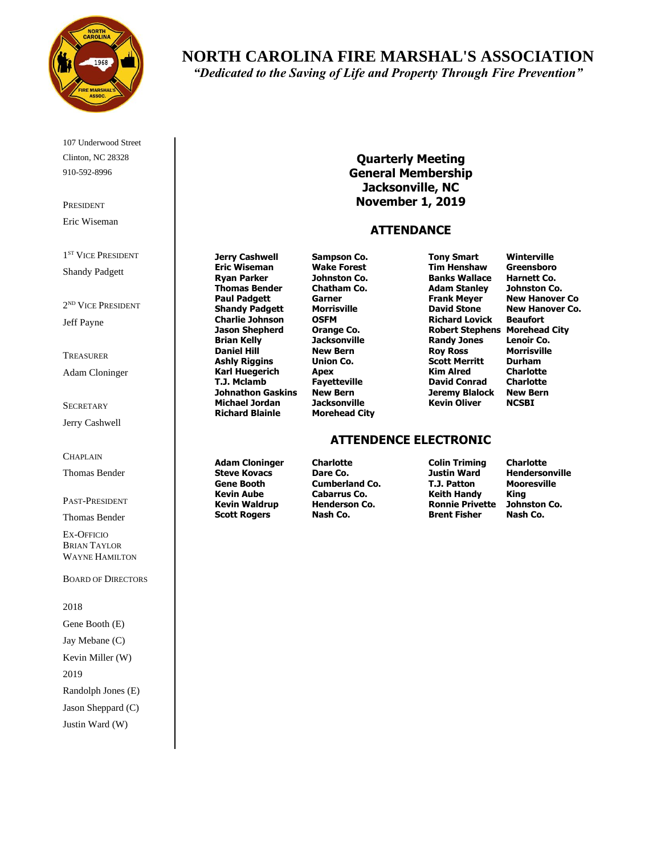

107 Underwood Street Clinton, NC 28328 910-592-8996

PRESIDENT Eric Wiseman

1<sup>ST</sup> VICE PRESIDENT Shandy Padgett

2 ND VICE PRESIDENT Jeff Payne

TREASURER Adam Cloninger

**SECRETARY** Jerry Cashwell

#### CHAPLAIN

Thomas Bender

PAST-PRESIDENT

Thomas Bender

EX-OFFICIO BRIAN TAYLOR WAYNE HAMILTON

BOARD OF DIRECTORS

2018 Gene Booth (E) Jay Mebane (C) Kevin Miller (W) 2019 Randolph Jones (E) Jason Sheppard (C) Justin Ward (W)

# **NORTH CAROLINA FIRE MARSHAL'S ASSOCIATION**

*"Dedicated to the Saving of Life and Property Through Fire Prevention"*

## **Quarterly Meeting General Membership Jacksonville, NC November 1, 2019**

### **ATTENDANCE**

**Jerry Cashwell Sampson Co. Tony Smart Winterville Eric Wiseman Wake Forest Tim Henshaw Ryan Parker Johnston Co. Banks Wallace Harnett Co. Thomas Bender Chatham Co. Adam Stanley Johnston Co. Paul Padgett Garner Frank Meyer New Hanover Co Shandy Padgett Morrisville David Stone New Hanover Co.**  $Charlie<sup>1</sup> Johnson<sup>2</sup>$ **Jason Shepherd Orange Co. Robert Stephens Morehead City Daniel Hill New Bern Roy Ross Morrisville Ashly Riggins Union Co. Scott Merritt Durham Karl Huegerich Apex Kim Alred Charlotte T.J. Mclamb Fayetteville David Conrad Charlotte Johnathon Gaskins New Bern Jeremy Blalock New Bern Michael Jordan Jacksonville Kevin Oliver NCSBI Richard Blainle Morehead City**

**Brian Co.**<br> **Randy Jones Lenoir Co.**<br> **Roy Ross Morrisville** 

### **ATTENDENCE ELECTRONIC**

**Steve Kovacs Dare Co. Justin Ward Hendersonville Gene Booth Cumberland Co. T.J. Patton Mooresville Kevin Aube Cabarrus Co. Keith Handy King Scott Rogers Nash Co. Brent Fisher Nash Co.**

**Adam Cloninger Charlotte Colin Triming Charlotte Ronnie Privette**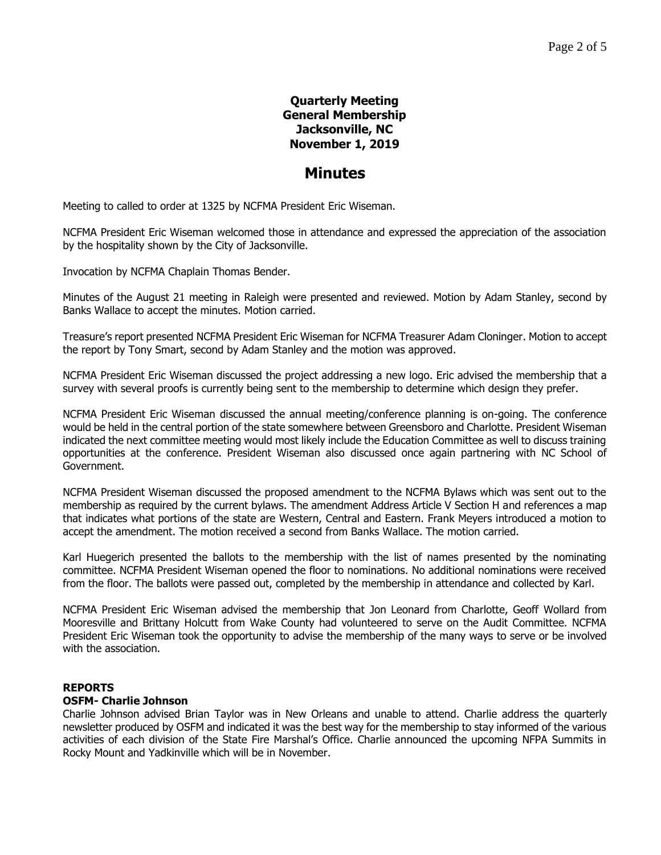# **Quarterly Meeting General Membership Jacksonville, NC November 1, 2019**

# **Minutes**

Meeting to called to order at 1325 by NCFMA President Eric Wiseman.

NCFMA President Eric Wiseman welcomed those in attendance and expressed the appreciation of the association by the hospitality shown by the City of Jacksonville.

Invocation by NCFMA Chaplain Thomas Bender.

Minutes of the August 21 meeting in Raleigh were presented and reviewed. Motion by Adam Stanley, second by Banks Wallace to accept the minutes. Motion carried.

Treasure's report presented NCFMA President Eric Wiseman for NCFMA Treasurer Adam Cloninger. Motion to accept the report by Tony Smart, second by Adam Stanley and the motion was approved.

NCFMA President Eric Wiseman discussed the project addressing a new logo. Eric advised the membership that a survey with several proofs is currently being sent to the membership to determine which design they prefer.

NCFMA President Eric Wiseman discussed the annual meeting/conference planning is on-going. The conference would be held in the central portion of the state somewhere between Greensboro and Charlotte. President Wiseman indicated the next committee meeting would most likely include the Education Committee as well to discuss training opportunities at the conference. President Wiseman also discussed once again partnering with NC School of Government.

NCFMA President Wiseman discussed the proposed amendment to the NCFMA Bylaws which was sent out to the membership as required by the current bylaws. The amendment Address Article V Section H and references a map that indicates what portions of the state are Western, Central and Eastern. Frank Meyers introduced a motion to accept the amendment. The motion received a second from Banks Wallace. The motion carried.

Karl Huegerich presented the ballots to the membership with the list of names presented by the nominating committee. NCFMA President Wiseman opened the floor to nominations. No additional nominations were received from the floor. The ballots were passed out, completed by the membership in attendance and collected by Karl.

NCFMA President Eric Wiseman advised the membership that Jon Leonard from Charlotte, Geoff Wollard from Mooresville and Brittany Holcutt from Wake County had volunteered to serve on the Audit Committee. NCFMA President Eric Wiseman took the opportunity to advise the membership of the many ways to serve or be involved with the association.

#### **REPORTS**

## **OSFM- Charlie Johnson**

Charlie Johnson advised Brian Taylor was in New Orleans and unable to attend. Charlie address the quarterly newsletter produced by OSFM and indicated it was the best way for the membership to stay informed of the various activities of each division of the State Fire Marshal's Office. Charlie announced the upcoming NFPA Summits in Rocky Mount and Yadkinville which will be in November.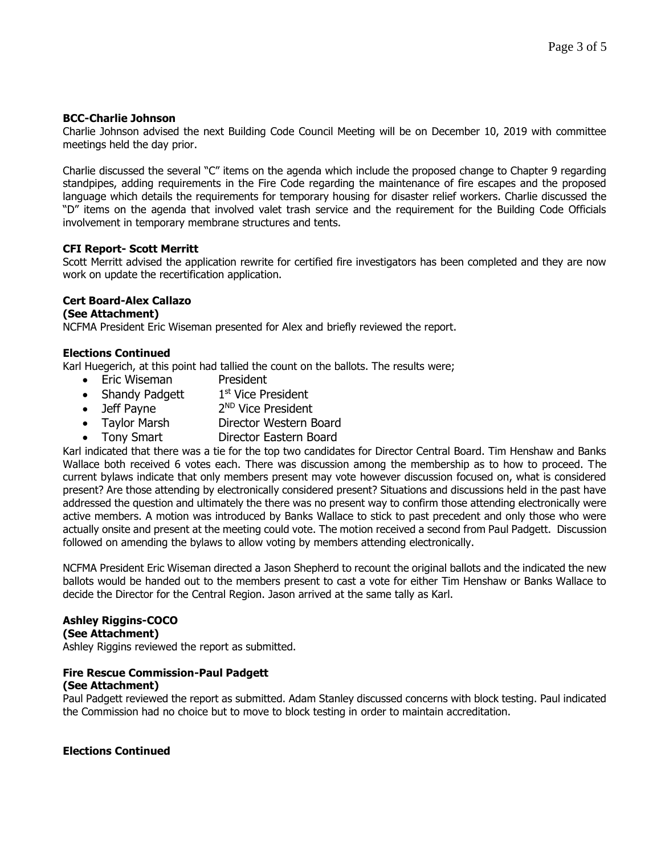## **BCC-Charlie Johnson**

Charlie Johnson advised the next Building Code Council Meeting will be on December 10, 2019 with committee meetings held the day prior.

Charlie discussed the several "C" items on the agenda which include the proposed change to Chapter 9 regarding standpipes, adding requirements in the Fire Code regarding the maintenance of fire escapes and the proposed language which details the requirements for temporary housing for disaster relief workers. Charlie discussed the "D" items on the agenda that involved valet trash service and the requirement for the Building Code Officials involvement in temporary membrane structures and tents.

### **CFI Report- Scott Merritt**

Scott Merritt advised the application rewrite for certified fire investigators has been completed and they are now work on update the recertification application.

## **Cert Board-Alex Callazo**

### **(See Attachment)**

NCFMA President Eric Wiseman presented for Alex and briefly reviewed the report.

### **Elections Continued**

Karl Huegerich, at this point had tallied the count on the ballots. The results were;

- Eric Wiseman President
- Shandy Padgett 1<sup>st</sup> Vice President
- $\bullet$  Jeff Payne 2<sup>ND</sup> Vice President
- Taylor Marsh Director Western Board
- Tony Smart Director Eastern Board

Karl indicated that there was a tie for the top two candidates for Director Central Board. Tim Henshaw and Banks Wallace both received 6 votes each. There was discussion among the membership as to how to proceed. The current bylaws indicate that only members present may vote however discussion focused on, what is considered present? Are those attending by electronically considered present? Situations and discussions held in the past have addressed the question and ultimately the there was no present way to confirm those attending electronically were active members. A motion was introduced by Banks Wallace to stick to past precedent and only those who were actually onsite and present at the meeting could vote. The motion received a second from Paul Padgett. Discussion followed on amending the bylaws to allow voting by members attending electronically.

NCFMA President Eric Wiseman directed a Jason Shepherd to recount the original ballots and the indicated the new ballots would be handed out to the members present to cast a vote for either Tim Henshaw or Banks Wallace to decide the Director for the Central Region. Jason arrived at the same tally as Karl.

# **Ashley Riggins-COCO**

**(See Attachment)**

Ashley Riggins reviewed the report as submitted.

# **Fire Rescue Commission-Paul Padgett**

### **(See Attachment)**

Paul Padgett reviewed the report as submitted. Adam Stanley discussed concerns with block testing. Paul indicated the Commission had no choice but to move to block testing in order to maintain accreditation.

### **Elections Continued**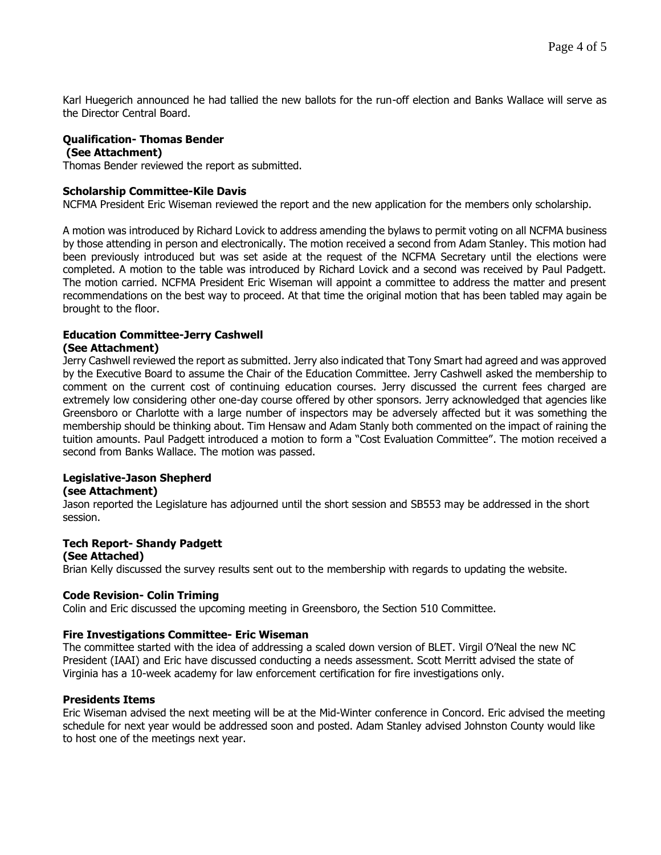Karl Huegerich announced he had tallied the new ballots for the run-off election and Banks Wallace will serve as the Director Central Board.

#### **Qualification- Thomas Bender (See Attachment)**

Thomas Bender reviewed the report as submitted.

### **Scholarship Committee-Kile Davis**

NCFMA President Eric Wiseman reviewed the report and the new application for the members only scholarship.

A motion was introduced by Richard Lovick to address amending the bylaws to permit voting on all NCFMA business by those attending in person and electronically. The motion received a second from Adam Stanley. This motion had been previously introduced but was set aside at the request of the NCFMA Secretary until the elections were completed. A motion to the table was introduced by Richard Lovick and a second was received by Paul Padgett. The motion carried. NCFMA President Eric Wiseman will appoint a committee to address the matter and present recommendations on the best way to proceed. At that time the original motion that has been tabled may again be brought to the floor.

# **Education Committee-Jerry Cashwell**

### **(See Attachment)**

Jerry Cashwell reviewed the report as submitted. Jerry also indicated that Tony Smart had agreed and was approved by the Executive Board to assume the Chair of the Education Committee. Jerry Cashwell asked the membership to comment on the current cost of continuing education courses. Jerry discussed the current fees charged are extremely low considering other one-day course offered by other sponsors. Jerry acknowledged that agencies like Greensboro or Charlotte with a large number of inspectors may be adversely affected but it was something the membership should be thinking about. Tim Hensaw and Adam Stanly both commented on the impact of raining the tuition amounts. Paul Padgett introduced a motion to form a "Cost Evaluation Committee". The motion received a second from Banks Wallace. The motion was passed.

## **Legislative-Jason Shepherd**

### **(see Attachment)**

Jason reported the Legislature has adjourned until the short session and SB553 may be addressed in the short session.

### **Tech Report- Shandy Padgett**

#### **(See Attached)**

Brian Kelly discussed the survey results sent out to the membership with regards to updating the website.

### **Code Revision- Colin Triming**

Colin and Eric discussed the upcoming meeting in Greensboro, the Section 510 Committee.

### **Fire Investigations Committee- Eric Wiseman**

The committee started with the idea of addressing a scaled down version of BLET. Virgil O'Neal the new NC President (IAAI) and Eric have discussed conducting a needs assessment. Scott Merritt advised the state of Virginia has a 10-week academy for law enforcement certification for fire investigations only.

#### **Presidents Items**

Eric Wiseman advised the next meeting will be at the Mid-Winter conference in Concord. Eric advised the meeting schedule for next year would be addressed soon and posted. Adam Stanley advised Johnston County would like to host one of the meetings next year.